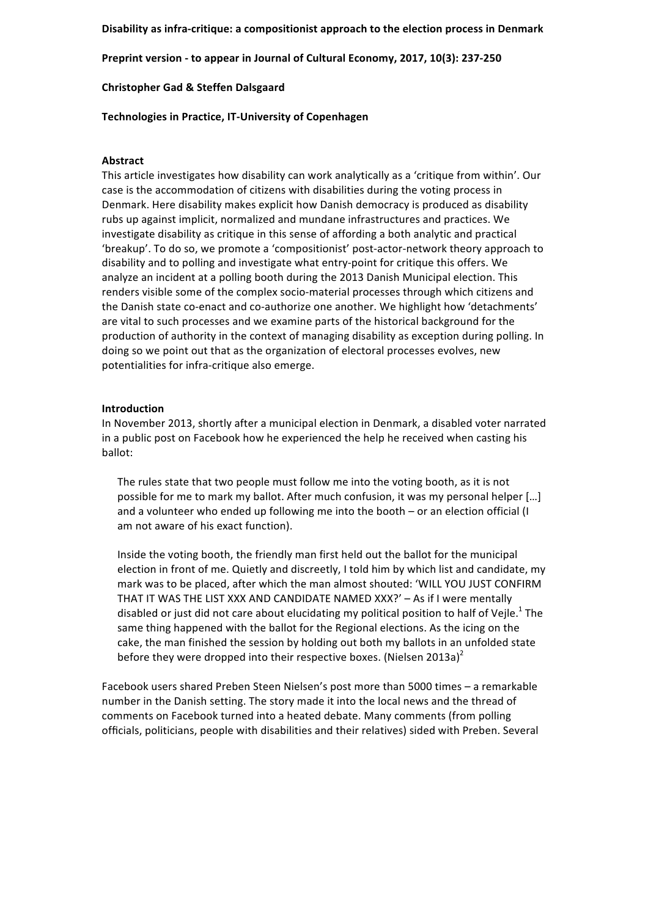Disability as infra-critique: a compositionist approach to the election process in Denmark

Preprint version - to appear in Journal of Cultural Economy, 2017, 10(3): 237-250

## **Christopher Gad & Steffen Dalsgaard**

## **Technologies in Practice, IT-University of Copenhagen**

### **Abstract**

This article investigates how disability can work analytically as a 'critique from within'. Our case is the accommodation of citizens with disabilities during the voting process in Denmark. Here disability makes explicit how Danish democracy is produced as disability rubs up against implicit, normalized and mundane infrastructures and practices. We investigate disability as critique in this sense of affording a both analytic and practical 'breakup'. To do so, we promote a 'compositionist' post-actor-network theory approach to disability and to polling and investigate what entry-point for critique this offers. We analyze an incident at a polling booth during the 2013 Danish Municipal election. This renders visible some of the complex socio-material processes through which citizens and the Danish state co-enact and co-authorize one another. We highlight how 'detachments' are vital to such processes and we examine parts of the historical background for the production of authority in the context of managing disability as exception during polling. In doing so we point out that as the organization of electoral processes evolves, new potentialities for infra-critique also emerge.

#### **Introduction**

In November 2013, shortly after a municipal election in Denmark, a disabled voter narrated in a public post on Facebook how he experienced the help he received when casting his ballot:

The rules state that two people must follow me into the voting booth, as it is not possible for me to mark my ballot. After much confusion, it was my personal helper  $\left[\ldots\right]$ and a volunteer who ended up following me into the booth – or an election official (I am not aware of his exact function).

Inside the voting booth, the friendly man first held out the ballot for the municipal election in front of me. Quietly and discreetly, I told him by which list and candidate, my mark was to be placed, after which the man almost shouted: 'WILL YOU JUST CONFIRM THAT IT WAS THE LIST XXX AND CANDIDATE NAMED XXX?' - As if I were mentally disabled or just did not care about elucidating my political position to half of Vejle.<sup>1</sup> The same thing happened with the ballot for the Regional elections. As the icing on the cake, the man finished the session by holding out both my ballots in an unfolded state before they were dropped into their respective boxes. (Nielsen 2013a)<sup>2</sup>

Facebook users shared Preben Steen Nielsen's post more than 5000 times - a remarkable number in the Danish setting. The story made it into the local news and the thread of comments on Facebook turned into a heated debate. Many comments (from polling officials, politicians, people with disabilities and their relatives) sided with Preben. Several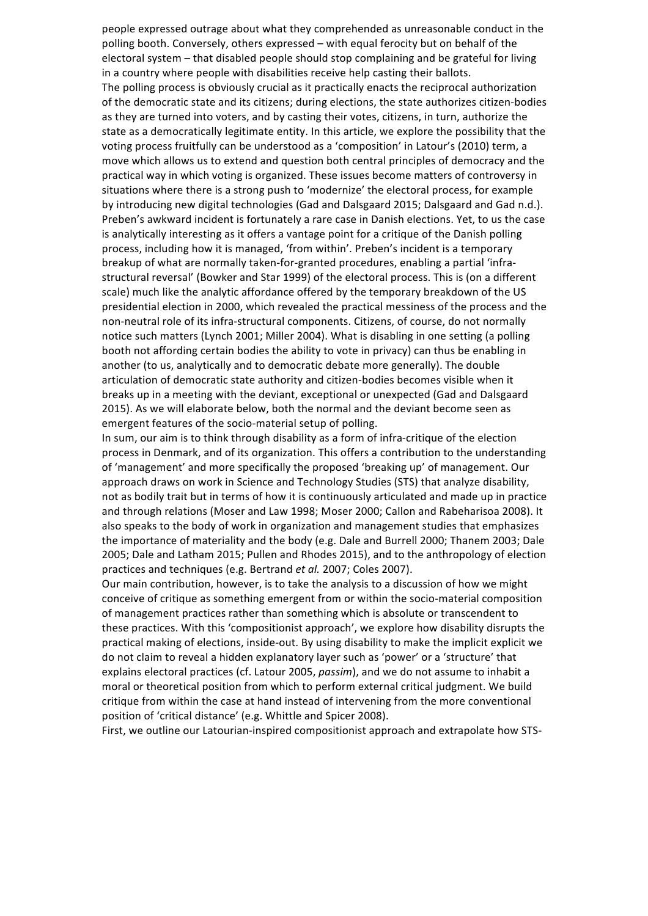people expressed outrage about what they comprehended as unreasonable conduct in the polling booth. Conversely, others expressed – with equal ferocity but on behalf of the electoral system - that disabled people should stop complaining and be grateful for living in a country where people with disabilities receive help casting their ballots. The polling process is obviously crucial as it practically enacts the reciprocal authorization of the democratic state and its citizens; during elections, the state authorizes citizen-bodies as they are turned into voters, and by casting their votes, citizens, in turn, authorize the state as a democratically legitimate entity. In this article, we explore the possibility that the voting process fruitfully can be understood as a 'composition' in Latour's (2010) term, a move which allows us to extend and question both central principles of democracy and the practical way in which voting is organized. These issues become matters of controversy in situations where there is a strong push to 'modernize' the electoral process, for example by introducing new digital technologies (Gad and Dalsgaard 2015; Dalsgaard and Gad n.d.). Preben's awkward incident is fortunately a rare case in Danish elections. Yet, to us the case is analytically interesting as it offers a vantage point for a critique of the Danish polling process, including how it is managed, 'from within'. Preben's incident is a temporary breakup of what are normally taken-for-granted procedures, enabling a partial 'infrastructural reversal' (Bowker and Star 1999) of the electoral process. This is (on a different scale) much like the analytic affordance offered by the temporary breakdown of the US presidential election in 2000, which revealed the practical messiness of the process and the non-neutral role of its infra-structural components. Citizens, of course, do not normally notice such matters (Lynch 2001; Miller 2004). What is disabling in one setting (a polling booth not affording certain bodies the ability to vote in privacy) can thus be enabling in another (to us, analytically and to democratic debate more generally). The double articulation of democratic state authority and citizen-bodies becomes visible when it breaks up in a meeting with the deviant, exceptional or unexpected (Gad and Dalsgaard 2015). As we will elaborate below, both the normal and the deviant become seen as emergent features of the socio-material setup of polling.

In sum, our aim is to think through disability as a form of infra-critique of the election process in Denmark, and of its organization. This offers a contribution to the understanding of 'management' and more specifically the proposed 'breaking up' of management. Our approach draws on work in Science and Technology Studies (STS) that analyze disability, not as bodily trait but in terms of how it is continuously articulated and made up in practice and through relations (Moser and Law 1998; Moser 2000; Callon and Rabeharisoa 2008). It also speaks to the body of work in organization and management studies that emphasizes the importance of materiality and the body (e.g. Dale and Burrell 2000; Thanem 2003; Dale 2005; Dale and Latham 2015; Pullen and Rhodes 2015), and to the anthropology of election practices and techniques (e.g. Bertrand *et al.* 2007; Coles 2007).

Our main contribution, however, is to take the analysis to a discussion of how we might conceive of critique as something emergent from or within the socio-material composition of management practices rather than something which is absolute or transcendent to these practices. With this 'compositionist approach', we explore how disability disrupts the practical making of elections, inside-out. By using disability to make the implicit explicit we do not claim to reveal a hidden explanatory layer such as 'power' or a 'structure' that explains electoral practices (cf. Latour 2005, passim), and we do not assume to inhabit a moral or theoretical position from which to perform external critical judgment. We build critique from within the case at hand instead of intervening from the more conventional position of 'critical distance' (e.g. Whittle and Spicer 2008).

First, we outline our Latourian-inspired compositionist approach and extrapolate how STS-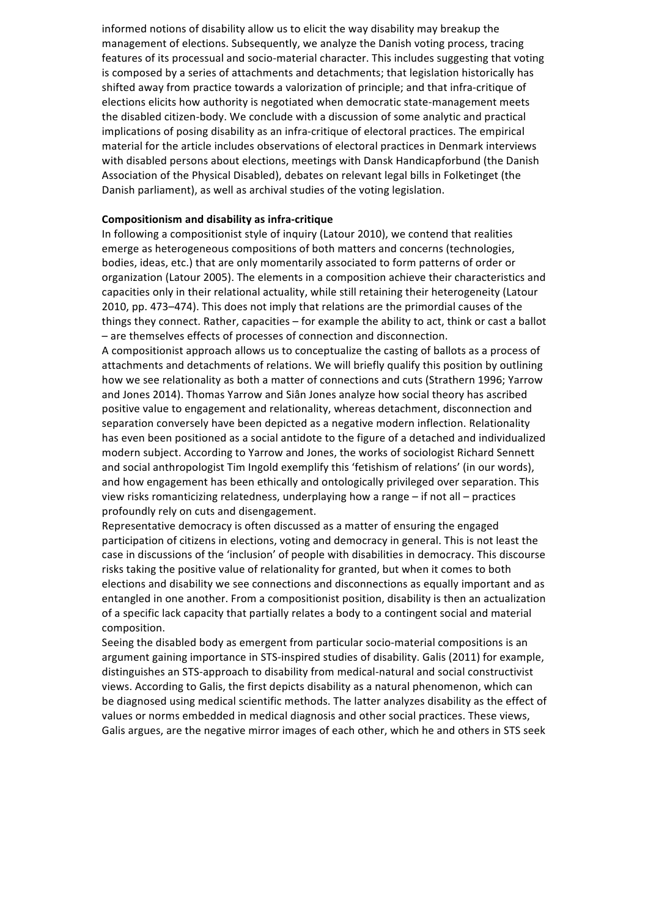informed notions of disability allow us to elicit the way disability may breakup the management of elections. Subsequently, we analyze the Danish voting process, tracing features of its processual and socio-material character. This includes suggesting that voting is composed by a series of attachments and detachments; that legislation historically has shifted away from practice towards a valorization of principle; and that infra-critique of elections elicits how authority is negotiated when democratic state-management meets the disabled citizen-body. We conclude with a discussion of some analytic and practical implications of posing disability as an infra-critique of electoral practices. The empirical material for the article includes observations of electoral practices in Denmark interviews with disabled persons about elections, meetings with Dansk Handicapforbund (the Danish Association of the Physical Disabled), debates on relevant legal bills in Folketinget (the Danish parliament), as well as archival studies of the voting legislation.

## **Compositionism and disability as infra-critique**

In following a compositionist style of inquiry (Latour 2010), we contend that realities emerge as heterogeneous compositions of both matters and concerns (technologies, bodies, ideas, etc.) that are only momentarily associated to form patterns of order or organization (Latour 2005). The elements in a composition achieve their characteristics and capacities only in their relational actuality, while still retaining their heterogeneity (Latour 2010, pp. 473–474). This does not imply that relations are the primordial causes of the things they connect. Rather, capacities - for example the ability to act, think or cast a ballot – are themselves effects of processes of connection and disconnection.

A compositionist approach allows us to conceptualize the casting of ballots as a process of attachments and detachments of relations. We will briefly qualify this position by outlining how we see relationality as both a matter of connections and cuts (Strathern 1996; Yarrow and Jones 2014). Thomas Yarrow and Siân Jones analyze how social theory has ascribed positive value to engagement and relationality, whereas detachment, disconnection and separation conversely have been depicted as a negative modern inflection. Relationality has even been positioned as a social antidote to the figure of a detached and individualized modern subject. According to Yarrow and Jones, the works of sociologist Richard Sennett and social anthropologist Tim Ingold exemplify this 'fetishism of relations' (in our words), and how engagement has been ethically and ontologically privileged over separation. This view risks romanticizing relatedness, underplaying how a range  $-$  if not all  $-$  practices profoundly rely on cuts and disengagement.

Representative democracy is often discussed as a matter of ensuring the engaged participation of citizens in elections, voting and democracy in general. This is not least the case in discussions of the 'inclusion' of people with disabilities in democracy. This discourse risks taking the positive value of relationality for granted, but when it comes to both elections and disability we see connections and disconnections as equally important and as entangled in one another. From a compositionist position, disability is then an actualization of a specific lack capacity that partially relates a body to a contingent social and material composition.

Seeing the disabled body as emergent from particular socio-material compositions is an argument gaining importance in STS-inspired studies of disability. Galis (2011) for example, distinguishes an STS-approach to disability from medical-natural and social constructivist views. According to Galis, the first depicts disability as a natural phenomenon, which can be diagnosed using medical scientific methods. The latter analyzes disability as the effect of values or norms embedded in medical diagnosis and other social practices. These views, Galis argues, are the negative mirror images of each other, which he and others in STS seek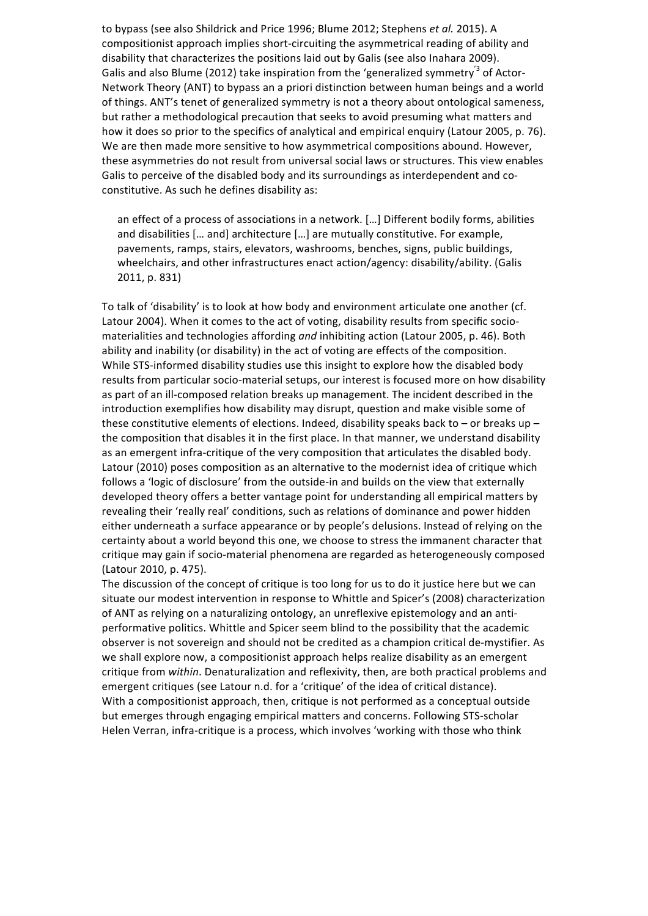to bypass (see also Shildrick and Price 1996; Blume 2012; Stephens et al. 2015). A compositionist approach implies short-circuiting the asymmetrical reading of ability and disability that characterizes the positions laid out by Galis (see also Inahara 2009). Galis and also Blume (2012) take inspiration from the 'generalized symmetry<sup>3</sup> of Actor-Network Theory (ANT) to bypass an a priori distinction between human beings and a world of things. ANT's tenet of generalized symmetry is not a theory about ontological sameness, but rather a methodological precaution that seeks to avoid presuming what matters and how it does so prior to the specifics of analytical and empirical enquiry (Latour 2005, p. 76). We are then made more sensitive to how asymmetrical compositions abound. However, these asymmetries do not result from universal social laws or structures. This view enables Galis to perceive of the disabled body and its surroundings as interdependent and coconstitutive. As such he defines disability as:

an effect of a process of associations in a network. [...] Different bodily forms, abilities and disabilities  $[...$  and] architecture  $[...]$  are mutually constitutive. For example, pavements, ramps, stairs, elevators, washrooms, benches, signs, public buildings, wheelchairs, and other infrastructures enact action/agency: disability/ability. (Galis 2011, p. 831)

To talk of 'disability' is to look at how body and environment articulate one another (cf. Latour 2004). When it comes to the act of voting, disability results from specific sociomaterialities and technologies affording *and* inhibiting action (Latour 2005, p. 46). Both ability and inability (or disability) in the act of voting are effects of the composition. While STS-informed disability studies use this insight to explore how the disabled body results from particular socio-material setups, our interest is focused more on how disability as part of an ill-composed relation breaks up management. The incident described in the introduction exemplifies how disability may disrupt, question and make visible some of these constitutive elements of elections. Indeed, disability speaks back to – or breaks up – the composition that disables it in the first place. In that manner, we understand disability as an emergent infra-critique of the very composition that articulates the disabled body. Latour (2010) poses composition as an alternative to the modernist idea of critique which follows a 'logic of disclosure' from the outside-in and builds on the view that externally developed theory offers a better vantage point for understanding all empirical matters by revealing their 'really real' conditions, such as relations of dominance and power hidden either underneath a surface appearance or by people's delusions. Instead of relying on the certainty about a world beyond this one, we choose to stress the immanent character that critique may gain if socio-material phenomena are regarded as heterogeneously composed (Latour 2010, p. 475).

The discussion of the concept of critique is too long for us to do it justice here but we can situate our modest intervention in response to Whittle and Spicer's (2008) characterization of ANT as relying on a naturalizing ontology, an unreflexive epistemology and an antiperformative politics. Whittle and Spicer seem blind to the possibility that the academic observer is not sovereign and should not be credited as a champion critical de-mystifier. As we shall explore now, a compositionist approach helps realize disability as an emergent critique from within. Denaturalization and reflexivity, then, are both practical problems and emergent critiques (see Latour n.d. for a 'critique' of the idea of critical distance). With a compositionist approach, then, critique is not performed as a conceptual outside but emerges through engaging empirical matters and concerns. Following STS-scholar Helen Verran, infra-critique is a process, which involves 'working with those who think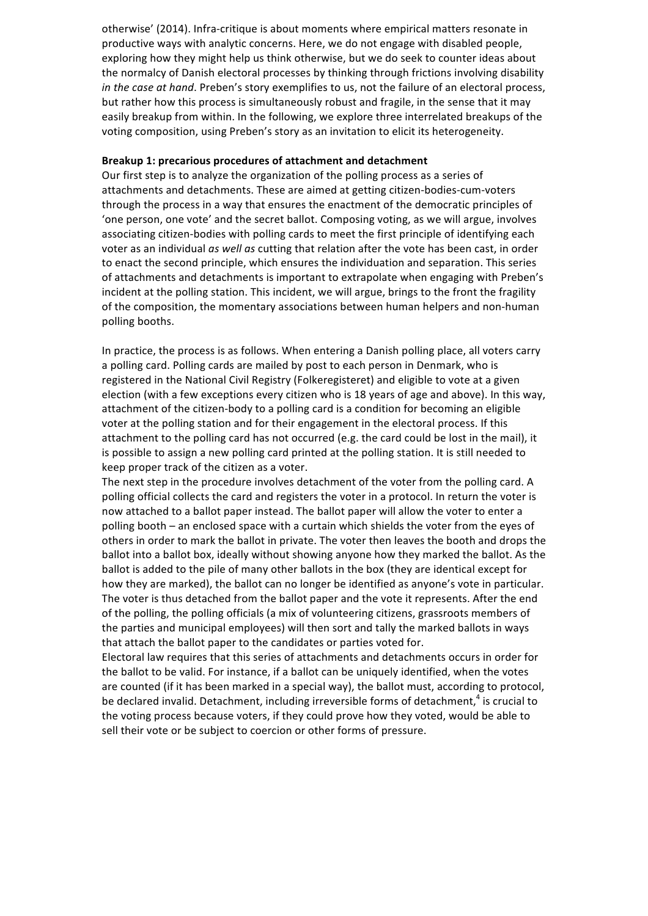otherwise' (2014). Infra-critique is about moments where empirical matters resonate in productive ways with analytic concerns. Here, we do not engage with disabled people, exploring how they might help us think otherwise, but we do seek to counter ideas about the normalcy of Danish electoral processes by thinking through frictions involving disability *in* the case at hand. Preben's story exemplifies to us, not the failure of an electoral process, but rather how this process is simultaneously robust and fragile, in the sense that it may easily breakup from within. In the following, we explore three interrelated breakups of the voting composition, using Preben's story as an invitation to elicit its heterogeneity.

#### **Breakup 1: precarious procedures of attachment and detachment**

Our first step is to analyze the organization of the polling process as a series of attachments and detachments. These are aimed at getting citizen-bodies-cum-voters through the process in a way that ensures the enactment of the democratic principles of 'one person, one vote' and the secret ballot. Composing voting, as we will argue, involves associating citizen-bodies with polling cards to meet the first principle of identifying each voter as an individual *as well as* cutting that relation after the vote has been cast, in order to enact the second principle, which ensures the individuation and separation. This series of attachments and detachments is important to extrapolate when engaging with Preben's incident at the polling station. This incident, we will argue, brings to the front the fragility of the composition, the momentary associations between human helpers and non-human polling booths.

In practice, the process is as follows. When entering a Danish polling place, all voters carry a polling card. Polling cards are mailed by post to each person in Denmark, who is registered in the National Civil Registry (Folkeregisteret) and eligible to vote at a given election (with a few exceptions every citizen who is 18 years of age and above). In this way, attachment of the citizen-body to a polling card is a condition for becoming an eligible voter at the polling station and for their engagement in the electoral process. If this attachment to the polling card has not occurred (e.g. the card could be lost in the mail), it is possible to assign a new polling card printed at the polling station. It is still needed to keep proper track of the citizen as a voter.

The next step in the procedure involves detachment of the voter from the polling card. A polling official collects the card and registers the voter in a protocol. In return the voter is now attached to a ballot paper instead. The ballot paper will allow the voter to enter a polling booth – an enclosed space with a curtain which shields the voter from the eyes of others in order to mark the ballot in private. The voter then leaves the booth and drops the ballot into a ballot box, ideally without showing anyone how they marked the ballot. As the ballot is added to the pile of many other ballots in the box (they are identical except for how they are marked), the ballot can no longer be identified as anyone's vote in particular. The voter is thus detached from the ballot paper and the vote it represents. After the end of the polling, the polling officials (a mix of volunteering citizens, grassroots members of the parties and municipal employees) will then sort and tally the marked ballots in ways that attach the ballot paper to the candidates or parties voted for.

Electoral law requires that this series of attachments and detachments occurs in order for the ballot to be valid. For instance, if a ballot can be uniquely identified, when the votes are counted (if it has been marked in a special way), the ballot must, according to protocol, be declared invalid. Detachment, including irreversible forms of detachment, $4$  is crucial to the voting process because voters, if they could prove how they voted, would be able to sell their vote or be subject to coercion or other forms of pressure.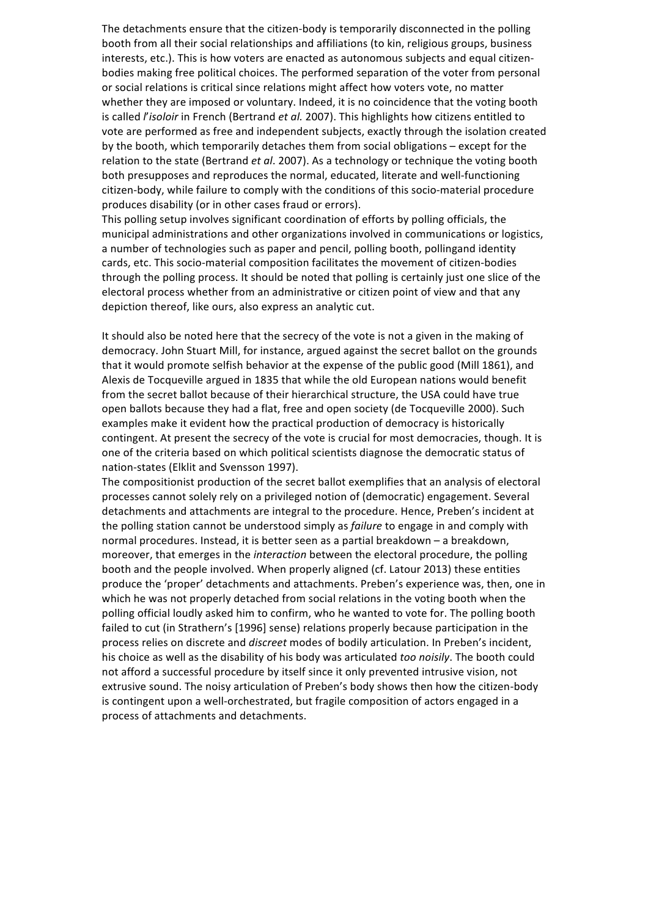The detachments ensure that the citizen-body is temporarily disconnected in the polling booth from all their social relationships and affiliations (to kin, religious groups, business interests, etc.). This is how voters are enacted as autonomous subjects and equal citizenbodies making free political choices. The performed separation of the voter from personal or social relations is critical since relations might affect how voters vote, no matter whether they are imposed or voluntary. Indeed, it is no coincidence that the voting booth is called *l'isoloir* in French (Bertrand *et al.* 2007). This highlights how citizens entitled to vote are performed as free and independent subjects, exactly through the isolation created by the booth, which temporarily detaches them from social obligations  $-$  except for the relation to the state (Bertrand *et al.* 2007). As a technology or technique the voting booth both presupposes and reproduces the normal, educated, literate and well-functioning citizen-body, while failure to comply with the conditions of this socio-material procedure produces disability (or in other cases fraud or errors).

This polling setup involves significant coordination of efforts by polling officials, the municipal administrations and other organizations involved in communications or logistics, a number of technologies such as paper and pencil, polling booth, pollingand identity cards, etc. This socio-material composition facilitates the movement of citizen-bodies through the polling process. It should be noted that polling is certainly just one slice of the electoral process whether from an administrative or citizen point of view and that any depiction thereof, like ours, also express an analytic cut.

It should also be noted here that the secrecy of the vote is not a given in the making of democracy. John Stuart Mill, for instance, argued against the secret ballot on the grounds that it would promote selfish behavior at the expense of the public good (Mill 1861), and Alexis de Tocqueville argued in 1835 that while the old European nations would benefit from the secret ballot because of their hierarchical structure, the USA could have true open ballots because they had a flat, free and open society (de Tocqueville 2000). Such examples make it evident how the practical production of democracy is historically contingent. At present the secrecy of the vote is crucial for most democracies, though. It is one of the criteria based on which political scientists diagnose the democratic status of nation-states (Elklit and Svensson 1997).

The compositionist production of the secret ballot exemplifies that an analysis of electoral processes cannot solely rely on a privileged notion of (democratic) engagement. Several detachments and attachments are integral to the procedure. Hence, Preben's incident at the polling station cannot be understood simply as *failure* to engage in and comply with normal procedures. Instead, it is better seen as a partial breakdown - a breakdown, moreover, that emerges in the *interaction* between the electoral procedure, the polling booth and the people involved. When properly aligned (cf. Latour 2013) these entities produce the 'proper' detachments and attachments. Preben's experience was, then, one in which he was not properly detached from social relations in the voting booth when the polling official loudly asked him to confirm, who he wanted to vote for. The polling booth failed to cut (in Strathern's [1996] sense) relations properly because participation in the process relies on discrete and *discreet* modes of bodily articulation. In Preben's incident, his choice as well as the disability of his body was articulated *too noisily*. The booth could not afford a successful procedure by itself since it only prevented intrusive vision, not extrusive sound. The noisy articulation of Preben's body shows then how the citizen-body is contingent upon a well-orchestrated, but fragile composition of actors engaged in a process of attachments and detachments.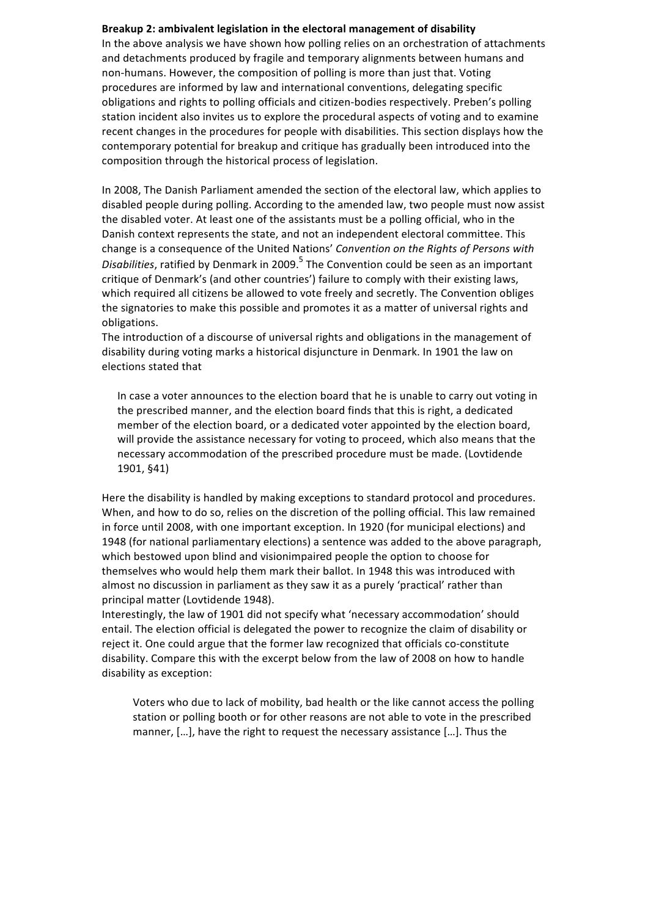## Breakup 2: ambivalent legislation in the electoral management of disability

In the above analysis we have shown how polling relies on an orchestration of attachments and detachments produced by fragile and temporary alignments between humans and non-humans. However, the composition of polling is more than just that. Voting procedures are informed by law and international conventions, delegating specific obligations and rights to polling officials and citizen-bodies respectively. Preben's polling station incident also invites us to explore the procedural aspects of voting and to examine recent changes in the procedures for people with disabilities. This section displays how the contemporary potential for breakup and critique has gradually been introduced into the composition through the historical process of legislation.

In 2008, The Danish Parliament amended the section of the electoral law, which applies to disabled people during polling. According to the amended law, two people must now assist the disabled voter. At least one of the assistants must be a polling official, who in the Danish context represents the state, and not an independent electoral committee. This change is a consequence of the United Nations' Convention on the Rights of Persons with *Disabilities*, ratified by Denmark in 2009.<sup>5</sup> The Convention could be seen as an important critique of Denmark's (and other countries') failure to comply with their existing laws, which required all citizens be allowed to vote freely and secretly. The Convention obliges the signatories to make this possible and promotes it as a matter of universal rights and obligations.

The introduction of a discourse of universal rights and obligations in the management of disability during voting marks a historical disjuncture in Denmark. In 1901 the law on elections stated that

In case a voter announces to the election board that he is unable to carry out voting in the prescribed manner, and the election board finds that this is right, a dedicated member of the election board, or a dedicated voter appointed by the election board, will provide the assistance necessary for voting to proceed, which also means that the necessary accommodation of the prescribed procedure must be made. (Lovtidende 1901, §41)

Here the disability is handled by making exceptions to standard protocol and procedures. When, and how to do so, relies on the discretion of the polling official. This law remained in force until 2008, with one important exception. In 1920 (for municipal elections) and 1948 (for national parliamentary elections) a sentence was added to the above paragraph, which bestowed upon blind and visionimpaired people the option to choose for themselves who would help them mark their ballot. In 1948 this was introduced with almost no discussion in parliament as they saw it as a purely 'practical' rather than principal matter (Lovtidende 1948).

Interestingly, the law of 1901 did not specify what 'necessary accommodation' should entail. The election official is delegated the power to recognize the claim of disability or reject it. One could argue that the former law recognized that officials co-constitute disability. Compare this with the excerpt below from the law of 2008 on how to handle disability as exception:

Voters who due to lack of mobility, bad health or the like cannot access the polling station or polling booth or for other reasons are not able to vote in the prescribed manner, [...], have the right to request the necessary assistance [...]. Thus the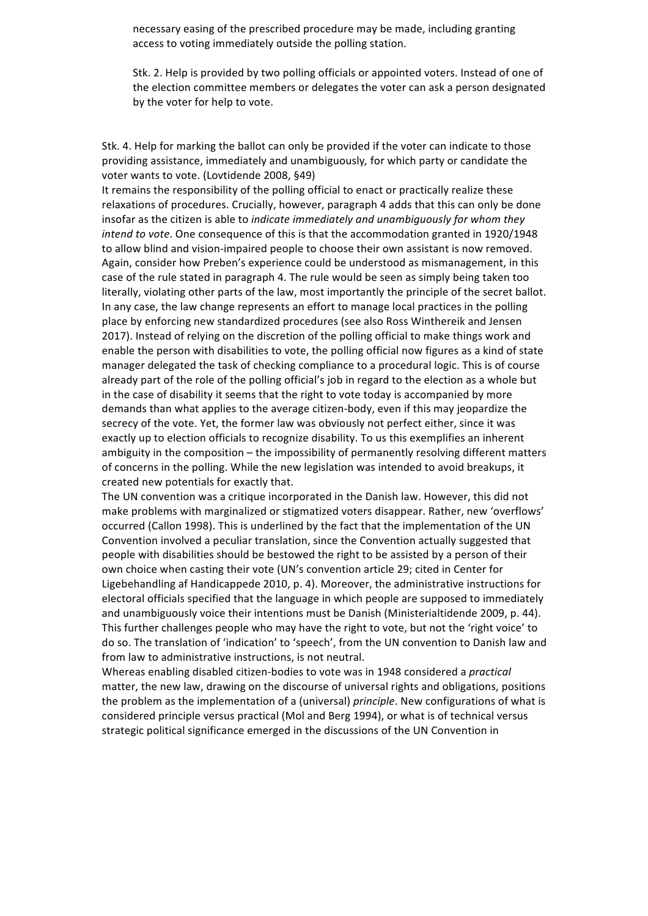necessary easing of the prescribed procedure may be made, including granting access to voting immediately outside the polling station.

Stk. 2. Help is provided by two polling officials or appointed voters. Instead of one of the election committee members or delegates the voter can ask a person designated by the voter for help to vote.

Stk. 4. Help for marking the ballot can only be provided if the voter can indicate to those providing assistance, immediately and unambiguously, for which party or candidate the voter wants to vote. (Lovtidende 2008, §49)

It remains the responsibility of the polling official to enact or practically realize these relaxations of procedures. Crucially, however, paragraph 4 adds that this can only be done insofar as the citizen is able to *indicate immediately and unambiguously for whom they intend to vote*. One consequence of this is that the accommodation granted in 1920/1948 to allow blind and vision-impaired people to choose their own assistant is now removed. Again, consider how Preben's experience could be understood as mismanagement, in this case of the rule stated in paragraph 4. The rule would be seen as simply being taken too literally, violating other parts of the law, most importantly the principle of the secret ballot. In any case, the law change represents an effort to manage local practices in the polling place by enforcing new standardized procedures (see also Ross Winthereik and Jensen 2017). Instead of relying on the discretion of the polling official to make things work and enable the person with disabilities to vote, the polling official now figures as a kind of state manager delegated the task of checking compliance to a procedural logic. This is of course already part of the role of the polling official's job in regard to the election as a whole but in the case of disability it seems that the right to vote today is accompanied by more demands than what applies to the average citizen-body, even if this may jeopardize the secrecy of the vote. Yet, the former law was obviously not perfect either, since it was exactly up to election officials to recognize disability. To us this exemplifies an inherent ambiguity in the composition – the impossibility of permanently resolving different matters of concerns in the polling. While the new legislation was intended to avoid breakups, it created new potentials for exactly that.

The UN convention was a critique incorporated in the Danish law. However, this did not make problems with marginalized or stigmatized voters disappear. Rather, new 'overflows' occurred (Callon 1998). This is underlined by the fact that the implementation of the UN Convention involved a peculiar translation, since the Convention actually suggested that people with disabilities should be bestowed the right to be assisted by a person of their own choice when casting their vote (UN's convention article 29; cited in Center for Ligebehandling af Handicappede 2010, p. 4). Moreover, the administrative instructions for electoral officials specified that the language in which people are supposed to immediately and unambiguously voice their intentions must be Danish (Ministerialtidende 2009, p. 44). This further challenges people who may have the right to vote, but not the 'right voice' to do so. The translation of 'indication' to 'speech', from the UN convention to Danish law and from law to administrative instructions, is not neutral.

Whereas enabling disabled citizen-bodies to vote was in 1948 considered a *practical* matter, the new law, drawing on the discourse of universal rights and obligations, positions the problem as the implementation of a (universal) *principle*. New configurations of what is considered principle versus practical (Mol and Berg 1994), or what is of technical versus strategic political significance emerged in the discussions of the UN Convention in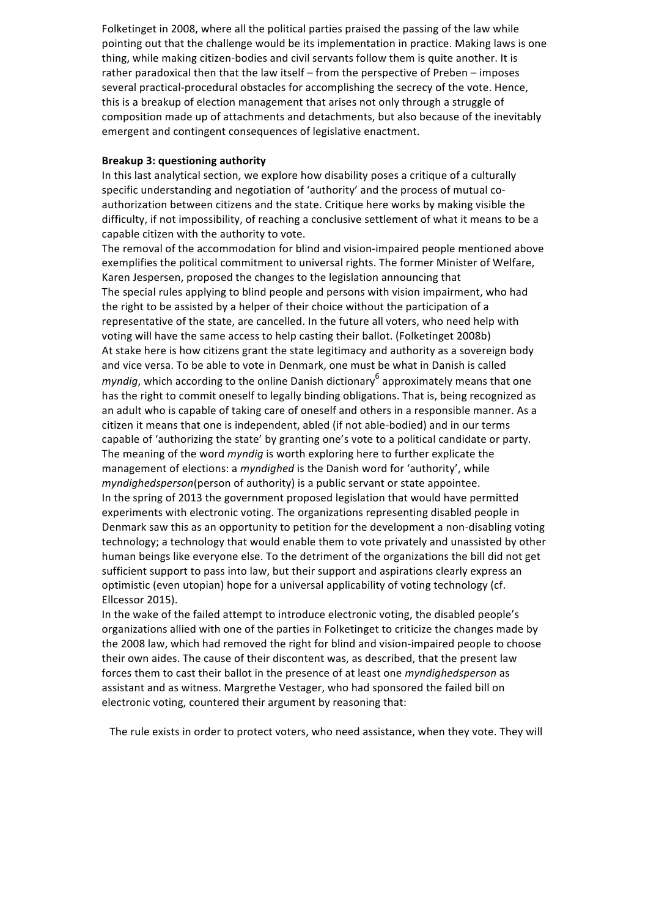Folketinget in 2008, where all the political parties praised the passing of the law while pointing out that the challenge would be its implementation in practice. Making laws is one thing, while making citizen-bodies and civil servants follow them is quite another. It is rather paradoxical then that the law itself – from the perspective of Preben – imposes several practical-procedural obstacles for accomplishing the secrecy of the vote. Hence, this is a breakup of election management that arises not only through a struggle of composition made up of attachments and detachments, but also because of the inevitably emergent and contingent consequences of legislative enactment.

## **Breakup 3: questioning authority**

In this last analytical section, we explore how disability poses a critique of a culturally specific understanding and negotiation of 'authority' and the process of mutual coauthorization between citizens and the state. Critique here works by making visible the difficulty, if not impossibility, of reaching a conclusive settlement of what it means to be a capable citizen with the authority to vote.

The removal of the accommodation for blind and vision-impaired people mentioned above exemplifies the political commitment to universal rights. The former Minister of Welfare, Karen Jespersen, proposed the changes to the legislation announcing that The special rules applying to blind people and persons with vision impairment, who had the right to be assisted by a helper of their choice without the participation of a representative of the state, are cancelled. In the future all voters, who need help with voting will have the same access to help casting their ballot. (Folketinget 2008b) At stake here is how citizens grant the state legitimacy and authority as a sovereign body and vice versa. To be able to vote in Denmark, one must be what in Danish is called *myndig*, which according to the online Danish dictionary<sup>6</sup> approximately means that one has the right to commit oneself to legally binding obligations. That is, being recognized as an adult who is capable of taking care of oneself and others in a responsible manner. As a citizen it means that one is independent, abled (if not able-bodied) and in our terms capable of 'authorizing the state' by granting one's vote to a political candidate or party. The meaning of the word *myndiq* is worth exploring here to further explicate the management of elections: a *myndighed* is the Danish word for 'authority', while *myndighedsperson*(person of authority) is a public servant or state appointee. In the spring of 2013 the government proposed legislation that would have permitted experiments with electronic voting. The organizations representing disabled people in Denmark saw this as an opportunity to petition for the development a non-disabling voting technology; a technology that would enable them to vote privately and unassisted by other human beings like everyone else. To the detriment of the organizations the bill did not get sufficient support to pass into law, but their support and aspirations clearly express an optimistic (even utopian) hope for a universal applicability of voting technology (cf. Ellcessor 2015).

In the wake of the failed attempt to introduce electronic voting, the disabled people's organizations allied with one of the parties in Folketinget to criticize the changes made by the 2008 law, which had removed the right for blind and vision-impaired people to choose their own aides. The cause of their discontent was, as described, that the present law forces them to cast their ballot in the presence of at least one *myndighedsperson* as assistant and as witness. Margrethe Vestager, who had sponsored the failed bill on electronic voting, countered their argument by reasoning that:

The rule exists in order to protect voters, who need assistance, when they vote. They will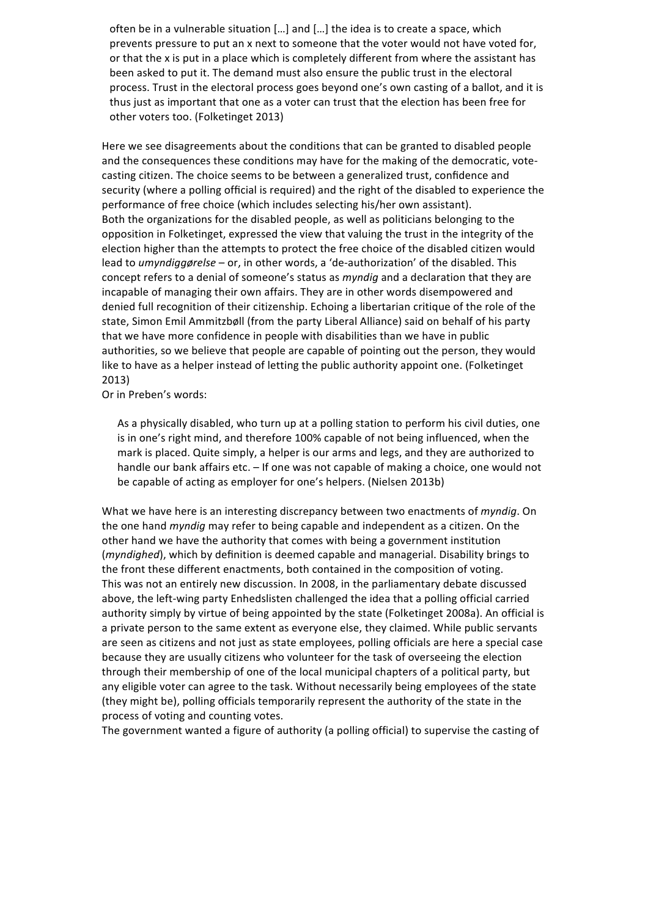often be in a vulnerable situation [...] and [...] the idea is to create a space, which prevents pressure to put an x next to someone that the voter would not have voted for, or that the x is put in a place which is completely different from where the assistant has been asked to put it. The demand must also ensure the public trust in the electoral process. Trust in the electoral process goes beyond one's own casting of a ballot, and it is thus just as important that one as a voter can trust that the election has been free for other voters too. (Folketinget 2013)

Here we see disagreements about the conditions that can be granted to disabled people and the consequences these conditions may have for the making of the democratic, votecasting citizen. The choice seems to be between a generalized trust, confidence and security (where a polling official is required) and the right of the disabled to experience the performance of free choice (which includes selecting his/her own assistant). Both the organizations for the disabled people, as well as politicians belonging to the opposition in Folketinget, expressed the view that valuing the trust in the integrity of the election higher than the attempts to protect the free choice of the disabled citizen would lead to *umyndiggørelse* – or, in other words, a 'de-authorization' of the disabled. This concept refers to a denial of someone's status as *myndig* and a declaration that they are incapable of managing their own affairs. They are in other words disempowered and denied full recognition of their citizenship. Echoing a libertarian critique of the role of the state, Simon Emil Ammitzbøll (from the party Liberal Alliance) said on behalf of his party that we have more confidence in people with disabilities than we have in public authorities, so we believe that people are capable of pointing out the person, they would like to have as a helper instead of letting the public authority appoint one. (Folketinget 2013)

Or in Preben's words:

As a physically disabled, who turn up at a polling station to perform his civil duties, one is in one's right mind, and therefore 100% capable of not being influenced, when the mark is placed. Quite simply, a helper is our arms and legs, and they are authorized to handle our bank affairs etc. - If one was not capable of making a choice, one would not be capable of acting as employer for one's helpers. (Nielsen 2013b)

What we have here is an interesting discrepancy between two enactments of *myndig*. On the one hand *myndig* may refer to being capable and independent as a citizen. On the other hand we have the authority that comes with being a government institution *(myndighed)*, which by definition is deemed capable and managerial. Disability brings to the front these different enactments, both contained in the composition of voting. This was not an entirely new discussion. In 2008, in the parliamentary debate discussed above, the left-wing party Enhedslisten challenged the idea that a polling official carried authority simply by virtue of being appointed by the state (Folketinget 2008a). An official is a private person to the same extent as everyone else, they claimed. While public servants are seen as citizens and not just as state employees, polling officials are here a special case because they are usually citizens who volunteer for the task of overseeing the election through their membership of one of the local municipal chapters of a political party, but any eligible voter can agree to the task. Without necessarily being employees of the state (they might be), polling officials temporarily represent the authority of the state in the process of voting and counting votes.

The government wanted a figure of authority (a polling official) to supervise the casting of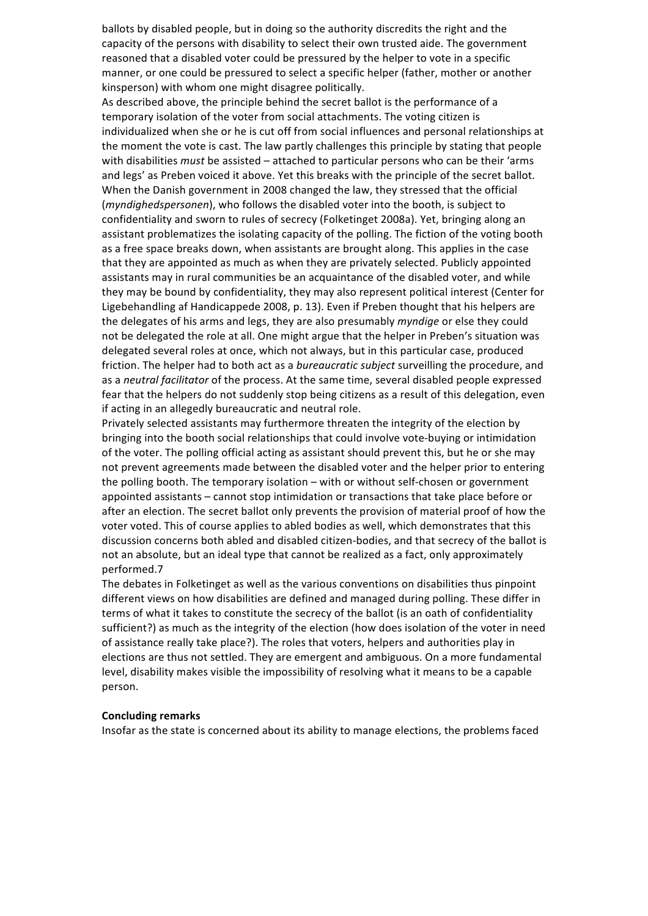ballots by disabled people, but in doing so the authority discredits the right and the capacity of the persons with disability to select their own trusted aide. The government reasoned that a disabled voter could be pressured by the helper to vote in a specific manner, or one could be pressured to select a specific helper (father, mother or another kinsperson) with whom one might disagree politically.

As described above, the principle behind the secret ballot is the performance of a temporary isolation of the voter from social attachments. The voting citizen is individualized when she or he is cut off from social influences and personal relationships at the moment the vote is cast. The law partly challenges this principle by stating that people with disabilities *must* be assisted – attached to particular persons who can be their 'arms and legs' as Preben voiced it above. Yet this breaks with the principle of the secret ballot. When the Danish government in 2008 changed the law, they stressed that the official (*myndighedspersonen*), who follows the disabled voter into the booth, is subject to confidentiality and sworn to rules of secrecy (Folketinget 2008a). Yet, bringing along an assistant problematizes the isolating capacity of the polling. The fiction of the voting booth as a free space breaks down, when assistants are brought along. This applies in the case that they are appointed as much as when they are privately selected. Publicly appointed assistants may in rural communities be an acquaintance of the disabled voter, and while they may be bound by confidentiality, they may also represent political interest (Center for Ligebehandling af Handicappede 2008, p. 13). Even if Preben thought that his helpers are the delegates of his arms and legs, they are also presumably *myndige* or else they could not be delegated the role at all. One might argue that the helper in Preben's situation was delegated several roles at once, which not always, but in this particular case, produced friction. The helper had to both act as a *bureaucratic subject* surveilling the procedure, and as a *neutral facilitator* of the process. At the same time, several disabled people expressed fear that the helpers do not suddenly stop being citizens as a result of this delegation, even if acting in an allegedly bureaucratic and neutral role.

Privately selected assistants may furthermore threaten the integrity of the election by bringing into the booth social relationships that could involve vote-buying or intimidation of the voter. The polling official acting as assistant should prevent this, but he or she may not prevent agreements made between the disabled voter and the helper prior to entering the polling booth. The temporary isolation – with or without self-chosen or government appointed assistants – cannot stop intimidation or transactions that take place before or after an election. The secret ballot only prevents the provision of material proof of how the voter voted. This of course applies to abled bodies as well, which demonstrates that this discussion concerns both abled and disabled citizen-bodies, and that secrecy of the ballot is not an absolute, but an ideal type that cannot be realized as a fact, only approximately performed.7

The debates in Folketinget as well as the various conventions on disabilities thus pinpoint different views on how disabilities are defined and managed during polling. These differ in terms of what it takes to constitute the secrecy of the ballot (is an oath of confidentiality sufficient?) as much as the integrity of the election (how does isolation of the voter in need of assistance really take place?). The roles that voters, helpers and authorities play in elections are thus not settled. They are emergent and ambiguous. On a more fundamental level, disability makes visible the impossibility of resolving what it means to be a capable person.

#### **Concluding remarks**

Insofar as the state is concerned about its ability to manage elections, the problems faced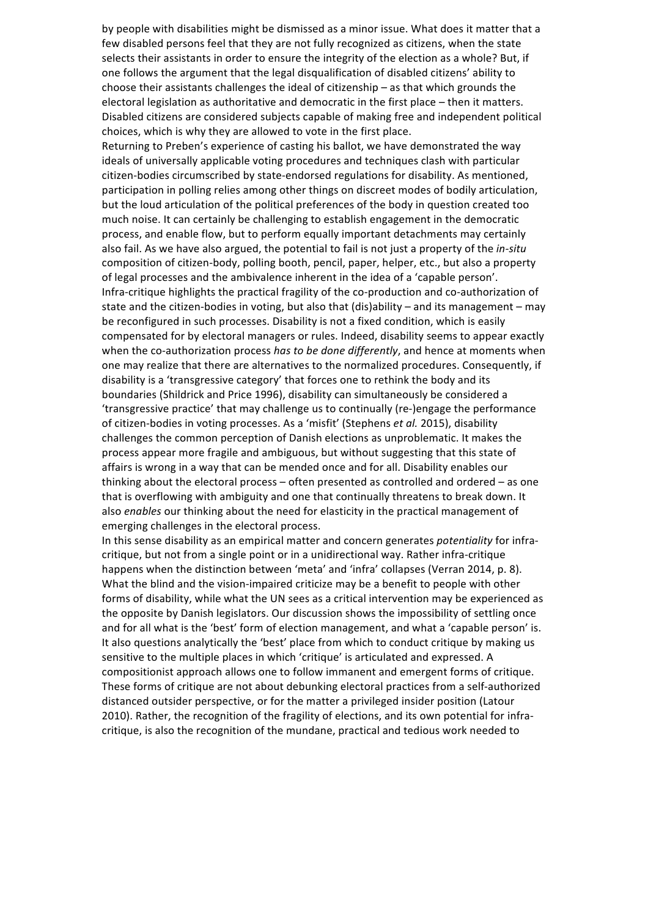by people with disabilities might be dismissed as a minor issue. What does it matter that a few disabled persons feel that they are not fully recognized as citizens, when the state selects their assistants in order to ensure the integrity of the election as a whole? But, if one follows the argument that the legal disqualification of disabled citizens' ability to choose their assistants challenges the ideal of citizenship  $-$  as that which grounds the electoral legislation as authoritative and democratic in the first place  $-$  then it matters. Disabled citizens are considered subjects capable of making free and independent political choices, which is why they are allowed to vote in the first place.

Returning to Preben's experience of casting his ballot, we have demonstrated the way ideals of universally applicable voting procedures and techniques clash with particular citizen-bodies circumscribed by state-endorsed regulations for disability. As mentioned, participation in polling relies among other things on discreet modes of bodily articulation, but the loud articulation of the political preferences of the body in question created too much noise. It can certainly be challenging to establish engagement in the democratic process, and enable flow, but to perform equally important detachments may certainly also fail. As we have also argued, the potential to fail is not just a property of the *in-situ* composition of citizen-body, polling booth, pencil, paper, helper, etc., but also a property of legal processes and the ambivalence inherent in the idea of a 'capable person'. Infra-critique highlights the practical fragility of the co-production and co-authorization of state and the citizen-bodies in voting, but also that  $(dis)$ ability – and its management – may be reconfigured in such processes. Disability is not a fixed condition, which is easily compensated for by electoral managers or rules. Indeed, disability seems to appear exactly when the co-authorization process has to be done differently, and hence at moments when one may realize that there are alternatives to the normalized procedures. Consequently, if disability is a 'transgressive category' that forces one to rethink the body and its boundaries (Shildrick and Price 1996), disability can simultaneously be considered a 'transgressive practice' that may challenge us to continually (re-)engage the performance of citizen-bodies in voting processes. As a 'misfit' (Stephens *et al.* 2015), disability challenges the common perception of Danish elections as unproblematic. It makes the process appear more fragile and ambiguous, but without suggesting that this state of affairs is wrong in a way that can be mended once and for all. Disability enables our thinking about the electoral process – often presented as controlled and ordered – as one that is overflowing with ambiguity and one that continually threatens to break down. It also *enables* our thinking about the need for elasticity in the practical management of emerging challenges in the electoral process.

In this sense disability as an empirical matter and concern generates *potentiality* for infracritique, but not from a single point or in a unidirectional way. Rather infra-critique happens when the distinction between 'meta' and 'infra' collapses (Verran 2014, p. 8). What the blind and the vision-impaired criticize may be a benefit to people with other forms of disability, while what the UN sees as a critical intervention may be experienced as the opposite by Danish legislators. Our discussion shows the impossibility of settling once and for all what is the 'best' form of election management, and what a 'capable person' is. It also questions analytically the 'best' place from which to conduct critique by making us sensitive to the multiple places in which 'critique' is articulated and expressed. A compositionist approach allows one to follow immanent and emergent forms of critique. These forms of critique are not about debunking electoral practices from a self-authorized distanced outsider perspective, or for the matter a privileged insider position (Latour 2010). Rather, the recognition of the fragility of elections, and its own potential for infracritique, is also the recognition of the mundane, practical and tedious work needed to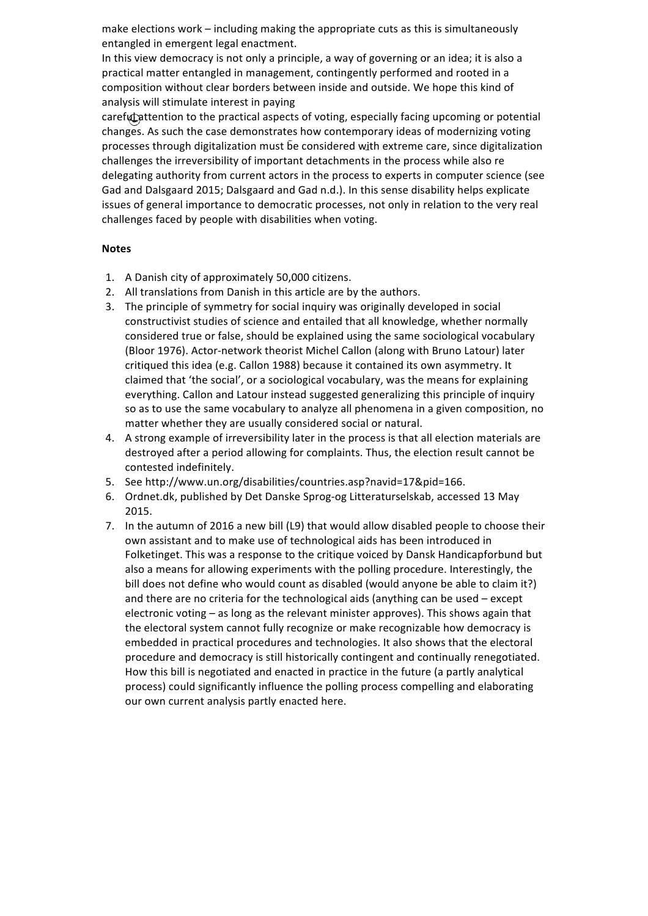make elections work - including making the appropriate cuts as this is simultaneously entangled in emergent legal enactment.

In this view democracy is not only a principle, a way of governing or an idea; it is also a practical matter entangled in management, contingently performed and rooted in a composition without clear borders between inside and outside. We hope this kind of analysis will stimulate interest in paying

careful attention to the practical aspects of voting, especially facing upcoming or potential changes. As such the case demonstrates how contemporary ideas of modernizing voting processes through digitalization must be considered with extreme care, since digitalization challenges the irreversibility of important detachments in the process while also re delegating authority from current actors in the process to experts in computer science (see Gad and Dalsgaard 2015; Dalsgaard and Gad n.d.). In this sense disability helps explicate issues of general importance to democratic processes, not only in relation to the very real challenges faced by people with disabilities when voting.

# **Notes**

- 1. A Danish city of approximately 50,000 citizens.
- 2. All translations from Danish in this article are by the authors.
- 3. The principle of symmetry for social inquiry was originally developed in social constructivist studies of science and entailed that all knowledge, whether normally considered true or false, should be explained using the same sociological vocabulary (Bloor 1976). Actor-network theorist Michel Callon (along with Bruno Latour) later critiqued this idea (e.g. Callon 1988) because it contained its own asymmetry. It claimed that 'the social', or a sociological vocabulary, was the means for explaining everything. Callon and Latour instead suggested generalizing this principle of inquiry so as to use the same vocabulary to analyze all phenomena in a given composition, no matter whether they are usually considered social or natural.
- 4. A strong example of irreversibility later in the process is that all election materials are destroyed after a period allowing for complaints. Thus, the election result cannot be contested indefinitely.
- 5. See http://www.un.org/disabilities/countries.asp?navid=17&pid=166.
- 6. Ordnet.dk, published by Det Danske Sprog-og Litteraturselskab, accessed 13 May 2015.
- 7. In the autumn of 2016 a new bill (L9) that would allow disabled people to choose their own assistant and to make use of technological aids has been introduced in Folketinget. This was a response to the critique voiced by Dansk Handicapforbund but also a means for allowing experiments with the polling procedure. Interestingly, the bill does not define who would count as disabled (would anyone be able to claim it?) and there are no criteria for the technological aids (anything can be used  $-$  except electronic voting  $-$  as long as the relevant minister approves). This shows again that the electoral system cannot fully recognize or make recognizable how democracy is embedded in practical procedures and technologies. It also shows that the electoral procedure and democracy is still historically contingent and continually renegotiated. How this bill is negotiated and enacted in practice in the future (a partly analytical process) could significantly influence the polling process compelling and elaborating our own current analysis partly enacted here.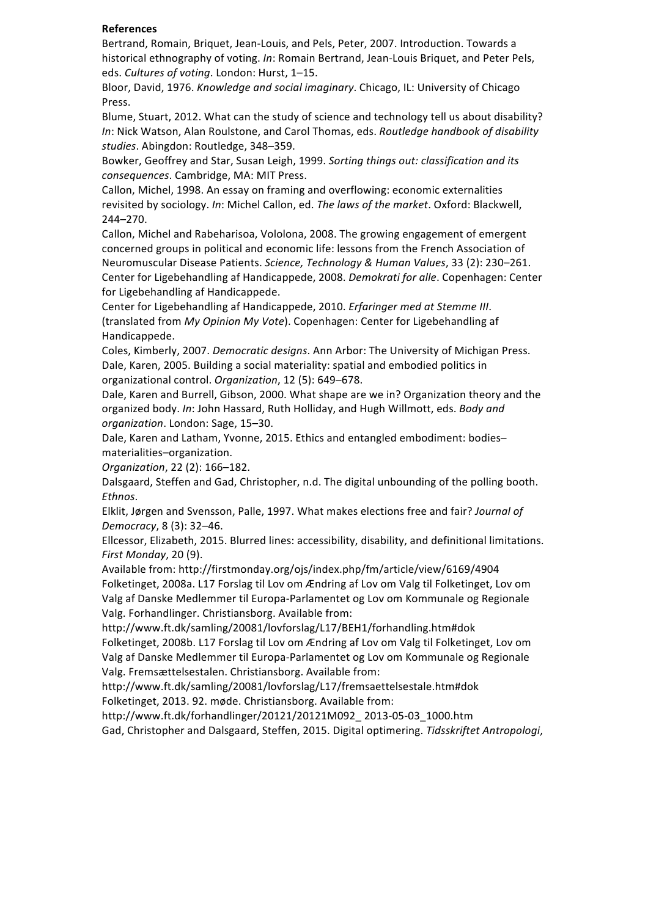## **References**

Bertrand, Romain, Briquet, Jean-Louis, and Pels, Peter, 2007. Introduction. Towards a historical ethnography of voting. *In*: Romain Bertrand, Jean-Louis Briquet, and Peter Pels, eds. *Cultures of voting*. London: Hurst, 1-15.

Bloor, David, 1976. *Knowledge and social imaginary*. Chicago, IL: University of Chicago Press.

Blume, Stuart, 2012. What can the study of science and technology tell us about disability? *In*: Nick Watson, Alan Roulstone, and Carol Thomas, eds. Routledge handbook of disability *studies*. Abingdon: Routledge, 348–359.

Bowker, Geoffrey and Star, Susan Leigh, 1999. Sorting things out: classification and its *consequences*. Cambridge, MA: MIT Press.

Callon, Michel, 1998. An essay on framing and overflowing: economic externalities revisited by sociology. In: Michel Callon, ed. The laws of the market. Oxford: Blackwell, 244–270.

Callon, Michel and Rabeharisoa, Vololona, 2008. The growing engagement of emergent concerned groups in political and economic life: lessons from the French Association of Neuromuscular Disease Patients. *Science, Technology & Human Values*, 33 (2): 230-261. Center for Ligebehandling af Handicappede, 2008. *Demokrati for alle*. Copenhagen: Center for Ligebehandling af Handicappede.

Center for Ligebehandling af Handicappede, 2010. *Erfaringer med at Stemme III*. (translated from My Opinion My Vote). Copenhagen: Center for Ligebehandling af Handicappede.

Coles, Kimberly, 2007. *Democratic designs*. Ann Arbor: The University of Michigan Press. Dale, Karen, 2005. Building a social materiality: spatial and embodied politics in organizational control. *Organization*, 12 (5): 649-678.

Dale, Karen and Burrell, Gibson, 2000. What shape are we in? Organization theory and the organized body. In: John Hassard, Ruth Holliday, and Hugh Willmott, eds. *Body and organization*. London: Sage, 15–30.

Dale, Karen and Latham, Yvonne, 2015. Ethics and entangled embodiment: bodiesmaterialities–organization.

*Organization*, 22 (2): 166–182.

Dalsgaard, Steffen and Gad, Christopher, n.d. The digital unbounding of the polling booth. *Ethnos*.

Elklit, Jørgen and Svensson, Palle, 1997. What makes elections free and fair? *Journal of Democracy*, 8 (3): 32–46.

Ellcessor, Elizabeth, 2015. Blurred lines: accessibility, disability, and definitional limitations. *First Monday*, 20 (9).

Available from: http://firstmonday.org/ojs/index.php/fm/article/view/6169/4904 Folketinget, 2008a. L17 Forslag til Lov om Ændring af Lov om Valg til Folketinget, Lov om Valg af Danske Medlemmer til Europa-Parlamentet og Lov om Kommunale og Regionale Valg. Forhandlinger. Christiansborg. Available from:

http://www.ft.dk/samling/20081/lovforslag/L17/BEH1/forhandling.htm#dok Folketinget, 2008b. L17 Forslag til Lov om Ændring af Lov om Valg til Folketinget, Lov om Valg af Danske Medlemmer til Europa-Parlamentet og Lov om Kommunale og Regionale Valg. Fremsættelsestalen. Christiansborg. Available from:

http://www.ft.dk/samling/20081/lovforslag/L17/fremsaettelsestale.htm#dok

Folketinget, 2013. 92. møde. Christiansborg. Available from:

http://www.ft.dk/forhandlinger/20121/20121M092\_ 2013-05-03\_1000.htm

Gad, Christopher and Dalsgaard, Steffen, 2015. Digital optimering. Tidsskriftet Antropologi,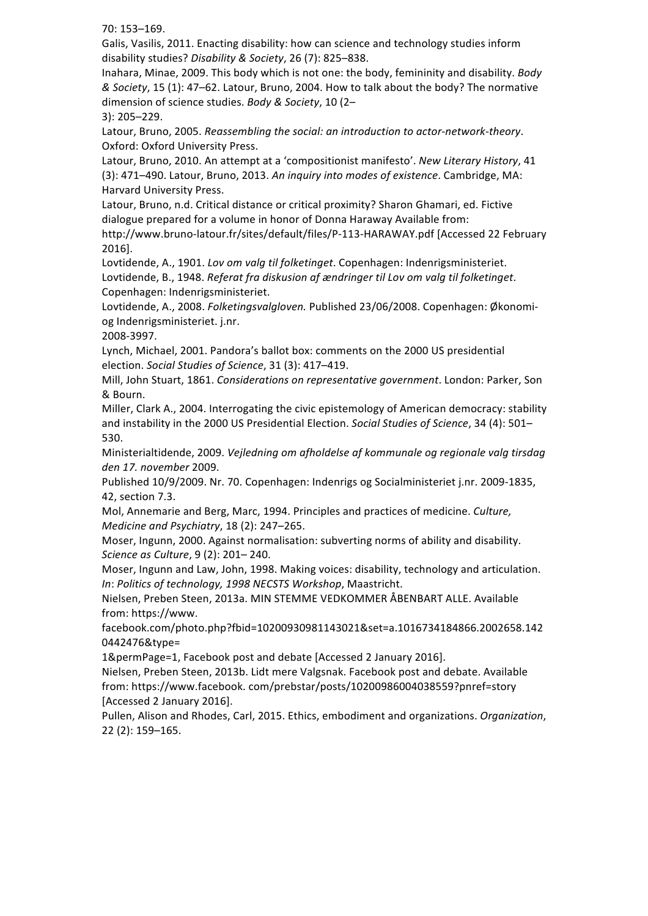70: 153–169.

Galis, Vasilis, 2011. Enacting disability: how can science and technology studies inform disability studies? *Disability & Society*, 26 (7): 825-838.

Inahara, Minae, 2009. This body which is not one: the body, femininity and disability. *Body & Society*, 15 (1): 47–62. Latour, Bruno, 2004. How to talk about the body? The normative dimension of science studies. *Body & Society*, 10 (2-

3): 205–229.

Latour, Bruno, 2005. *Reassembling the social: an introduction to actor-network-theory*. Oxford: Oxford University Press.

Latour, Bruno, 2010. An attempt at a 'compositionist manifesto'. New Literary History, 41 (3): 471-490. Latour, Bruno, 2013. An inquiry into modes of existence. Cambridge, MA: Harvard University Press.

Latour, Bruno, n.d. Critical distance or critical proximity? Sharon Ghamari, ed. Fictive dialogue prepared for a volume in honor of Donna Haraway Available from:

http://www.bruno-latour.fr/sites/default/files/P-113-HARAWAY.pdf [Accessed 22 February 2016].

Lovtidende, A., 1901. *Lov om valg til folketinget*. Copenhagen: Indenrigsministeriet. Lovtidende, B., 1948. *Referat fra diskusion af ændringer til Lov om valg til folketinget*. Copenhagen: Indenrigsministeriet.

Lovtidende, A., 2008. Folketingsvalgloven. Published 23/06/2008. Copenhagen: Økonomiog Indenrigsministeriet. j.nr.

2008-3997.

Lynch, Michael, 2001. Pandora's ballot box: comments on the 2000 US presidential election. *Social Studies of Science*, 31 (3): 417-419.

Mill, John Stuart, 1861. *Considerations on representative government*. London: Parker, Son & Bourn.

Miller, Clark A., 2004. Interrogating the civic epistemology of American democracy: stability and instability in the 2000 US Presidential Election. *Social Studies of Science*, 34 (4): 501– 530.

Ministerialtidende, 2009. *Vejledning om afholdelse af kommunale og regionale valg tirsdag den 17. november* 2009.

Published 10/9/2009. Nr. 70. Copenhagen: Indenrigs og Socialministeriet j.nr. 2009-1835, 42, section 7.3.

Mol, Annemarie and Berg, Marc, 1994. Principles and practices of medicine. *Culture*, *Medicine and Psychiatry*, 18 (2): 247–265.

Moser, Ingunn, 2000. Against normalisation: subverting norms of ability and disability. *Science as Culture*, 9 (2): 201– 240.

Moser, Ingunn and Law, John, 1998. Making voices: disability, technology and articulation. In: Politics of technology, 1998 NECSTS Workshop, Maastricht.

Nielsen, Preben Steen, 2013a. MIN STEMME VEDKOMMER ÅBENBART ALLE. Available from: https://www.

facebook.com/photo.php?fbid=10200930981143021&set=a.1016734184866.2002658.142 0442476&type=

1&permPage=1, Facebook post and debate [Accessed 2 January 2016].

Nielsen, Preben Steen, 2013b. Lidt mere Valgsnak. Facebook post and debate. Available from: https://www.facebook. com/prebstar/posts/10200986004038559?pnref=story [Accessed 2 January 2016].

Pullen, Alison and Rhodes, Carl, 2015. Ethics, embodiment and organizations. *Organization*, 22 (2): 159–165.